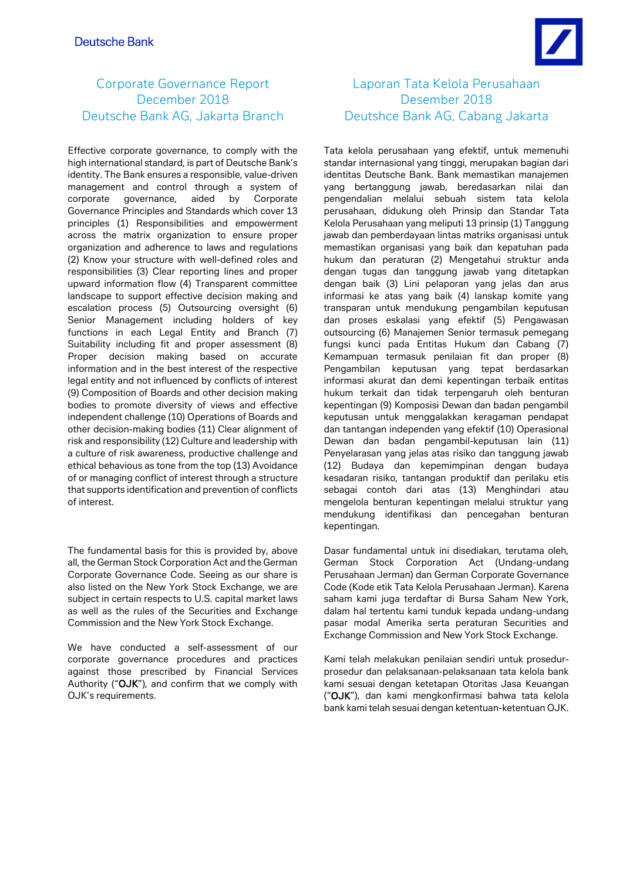# Corporate Governance Report December 2018 Deutsche Bank AG, Jakarta Branch

Effective corporate governance, to comply with the high international standard, is part of Deutsche Bank's identity. The Bank ensures a responsible, value-driven management and control through a system of corporate governance, aided by Corporate Governance Principles and Standards which cover 13 principles (1) Responsibilities and empowerment across the matrix organization to ensure proper organization and adherence to laws and regulations (2) Know your structure with well-defined roles and responsibilities (3) Clear reporting lines and proper upward information flow (4) Transparent committee landscape to support effective decision making and escalation process (5) Outsourcing oversight (6) Senior Management including holders of key functions in each Legal Entity and Branch (7) Suitability including fit and proper assessment (8) Proper decision making based on accurate information and in the best interest of the respective legal entity and not influenced by conflicts of interest (9) Composition of Boards and other decision making bodies to promote diversity of views and effective independent challenge (10) Operations of Boards and other decision-making bodies (11) Clear alignment of risk and responsibility (12) Culture and leadership with a culture of risk awareness, productive challenge and ethical behavious as tone from the top (13) Avoidance of or managing conflict of interest through a structure that supports identification and prevention of conflicts of interest.

The fundamental basis for this is provided by, above all, the German Stock Corporation Act and the German Corporate Governance Code. Seeing as our share is also listed on the New York Stock Exchange, we are subject in certain respects to U.S. capital market laws as well as the rules of the Securities and Exchange Commission and the New York Stock Exchange.

We have conducted a self-assessment of our corporate governance procedures and practices against those prescribed by Financial Services Authority ("OJK"), and confirm that we comply with OJK's requirements.

# Laporan Tata Kelola Perusahaan Desember 2018 Deutshce Bank AG, Cabang Jakarta

Tata kelola perusahaan yang efektif, untuk memenuhi standar internasional yang tinggi, merupakan bagian dari identitas Deutsche Bank. Bank memastikan manajemen yang bertanggung jawab, beredasarkan nilai dan pengendalian melalui sebuah sistem tata kelola perusahaan, didukung oleh Prinsip dan Standar Tata Kelola Perusahaan yang meliputi 13 prinsip (1) Tanggung jawab dan pemberdayaan lintas matriks organisasi untuk memastikan organisasi yang baik dan kepatuhan pada hukum dan peraturan (2) Mengetahui struktur anda dengan tugas dan tanggung jawab yang ditetapkan dengan baik (3) Lini pelaporan yang jelas dan arus informasi ke atas yang baik (4) lanskap komite yang transparan untuk mendukung pengambilan keputusan dan proses eskalasi yang efektif (5) Pengawasan outsourcing (6) Manajemen Senior termasuk pemegang fungsi kunci pada Entitas Hukum dan Cabang (7) Kemampuan termasuk penilaian fit dan proper (8) Pengambilan keputusan yang tepat berdasarkan informasi akurat dan demi kepentingan terbaik entitas hukum terkait dan tidak terpengaruh oleh benturan kepentingan (9) Komposisi Dewan dan badan pengambil keputusan untuk menggalakkan keragaman pendapat dan tantangan independen yang efektif (10) Operasional Dewan dan badan pengambil-keputusan lain (11) Penyelarasan yang jelas atas risiko dan tanggung jawab (12) Budaya dan kepemimpinan dengan budaya kesadaran risiko, tantangan produktif dan perilaku etis sebagai contoh dari atas (13) Menghindari atau mengelola benturan kepentingan melalui struktur yang mendukung identifikasi dan pencegahan benturan kepentingan.

Dasar fundamental untuk ini disediakan, terutama oleh, German Stock Corporation Act (Undang-undang Perusahaan Jerman) dan German Corporate Governance Code (Kode etik Tata Kelola Perusahaan Jerman). Karena saham kami juga terdaftar di Bursa Saham New York, dalam hal tertentu kami tunduk kepada undang-undang pasar modal Amerika serta peraturan Securities and Exchange Commission and New York Stock Exchange.

Kami telah melakukan penilaian sendiri untuk prosedurprosedur dan pelaksanaan-pelaksanaan tata kelola bank kami sesuai dengan ketetapan Otoritas Jasa Keuangan ("OJK"), dan kami mengkonfirmasi bahwa tata kelola bank kami telah sesuai dengan ketentuan-ketentuan OJK.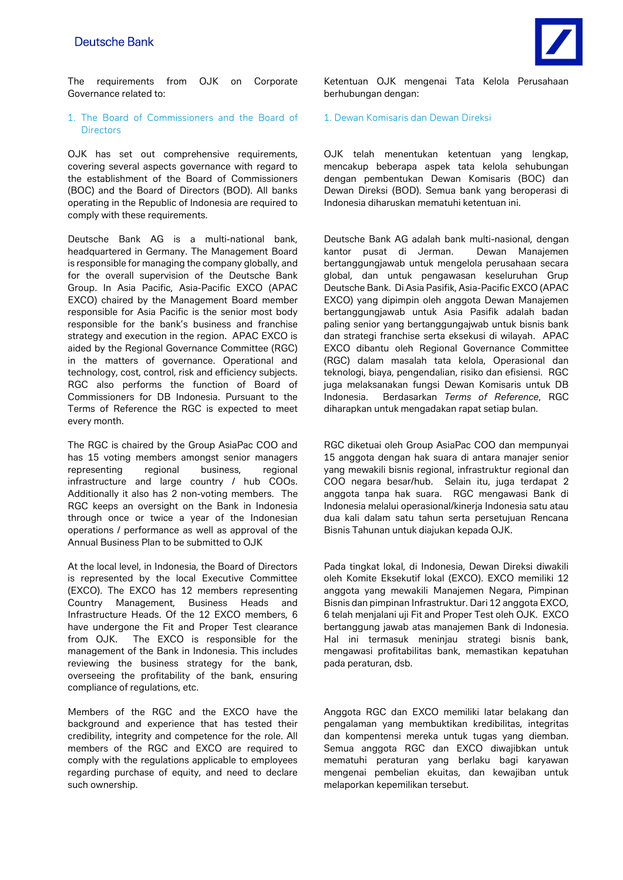The requirements from OJK on Corporate Governance related to:

# 1. The Board of Commissioners and the Board of **Directors**

OJK has set out comprehensive requirements, covering several aspects governance with regard to the establishment of the Board of Commissioners (BOC) and the Board of Directors (BOD). All banks operating in the Republic of Indonesia are required to comply with these requirements.

Deutsche Bank AG is a multi-national bank, headquartered in Germany. The Management Board is responsible for managing the company globally, and for the overall supervision of the Deutsche Bank Group. In Asia Pacific, Asia-Pacific EXCO (APAC EXCO) chaired by the Management Board member responsible for Asia Pacific is the senior most body responsible for the bank's business and franchise strategy and execution in the region. APAC EXCO is aided by the Regional Governance Committee (RGC) in the matters of governance. Operational and technology, cost, control, risk and efficiency subjects. RGC also performs the function of Board of Commissioners for DB Indonesia. Pursuant to the Terms of Reference the RGC is expected to meet every month.

The RGC is chaired by the Group AsiaPac COO and has 15 voting members amongst senior managers representing regional business, regional infrastructure and large country / hub COOs. Additionally it also has 2 non-voting members. The RGC keeps an oversight on the Bank in Indonesia through once or twice a year of the Indonesian operations / performance as well as approval of the Annual Business Plan to be submitted to OJK

At the local level, in Indonesia, the Board of Directors is represented by the local Executive Committee (EXCO). The EXCO has 12 members representing Country Management, Business Heads and Infrastructure Heads. Of the 12 EXCO members, 6 have undergone the Fit and Proper Test clearance from OJK. The EXCO is responsible for the management of the Bank in Indonesia. This includes reviewing the business strategy for the bank, overseeing the profitability of the bank, ensuring compliance of regulations, etc.

Members of the RGC and the EXCO have the background and experience that has tested their credibility, integrity and competence for the role. All members of the RGC and EXCO are required to comply with the regulations applicable to employees regarding purchase of equity, and need to declare such ownership.

Ketentuan OJK mengenai Tata Kelola Perusahaan berhubungan dengan:

## 1. Dewan Komisaris dan Dewan Direksi

OJK telah menentukan ketentuan yang lengkap, mencakup beberapa aspek tata kelola sehubungan dengan pembentukan Dewan Komisaris (BOC) dan Dewan Direksi (BOD). Semua bank yang beroperasi di Indonesia diharuskan mematuhi ketentuan ini.

Deutsche Bank AG adalah bank multi-nasional, dengan kantor pusat di Jerman. Dewan Manajemen bertanggungjawab untuk mengelola perusahaan secara global, dan untuk pengawasan keseluruhan Grup Deutsche Bank. Di Asia Pasifik, Asia-Pacific EXCO (APAC EXCO) yang dipimpin oleh anggota Dewan Manajemen bertanggungjawab untuk Asia Pasifik adalah badan paling senior yang bertanggungajwab untuk bisnis bank dan strategi franchise serta eksekusi di wilayah. APAC EXCO dibantu oleh Regional Governance Committee (RGC) dalam masalah tata kelola, Operasional dan teknologi, biaya, pengendalian, risiko dan efisiensi. RGC juga melaksanakan fungsi Dewan Komisaris untuk DB Indonesia. Berdasarkan *Terms of Reference*, RGC diharapkan untuk mengadakan rapat setiap bulan.

RGC diketuai oleh Group AsiaPac COO dan mempunyai 15 anggota dengan hak suara di antara manajer senior yang mewakili bisnis regional, infrastruktur regional dan COO negara besar/hub. Selain itu, juga terdapat 2 anggota tanpa hak suara. RGC mengawasi Bank di Indonesia melalui operasional/kinerja Indonesia satu atau dua kali dalam satu tahun serta persetujuan Rencana Bisnis Tahunan untuk diajukan kepada OJK.

Pada tingkat lokal, di Indonesia, Dewan Direksi diwakili oleh Komite Eksekutif lokal (EXCO). EXCO memiliki 12 anggota yang mewakili Manajemen Negara, Pimpinan Bisnis dan pimpinan Infrastruktur. Dari 12 anggota EXCO, 6 telah menjalani uji Fit and Proper Test oleh OJK. EXCO bertanggung jawab atas manajemen Bank di Indonesia. Hal ini termasuk meninjau strategi bisnis bank, mengawasi profitabilitas bank, memastikan kepatuhan pada peraturan, dsb.

Anggota RGC dan EXCO memiliki latar belakang dan pengalaman yang membuktikan kredibilitas, integritas dan kompentensi mereka untuk tugas yang diemban. Semua anggota RGC dan EXCO diwajibkan untuk mematuhi peraturan yang berlaku bagi karyawan mengenai pembelian ekuitas, dan kewajiban untuk melaporkan kepemilikan tersebut.

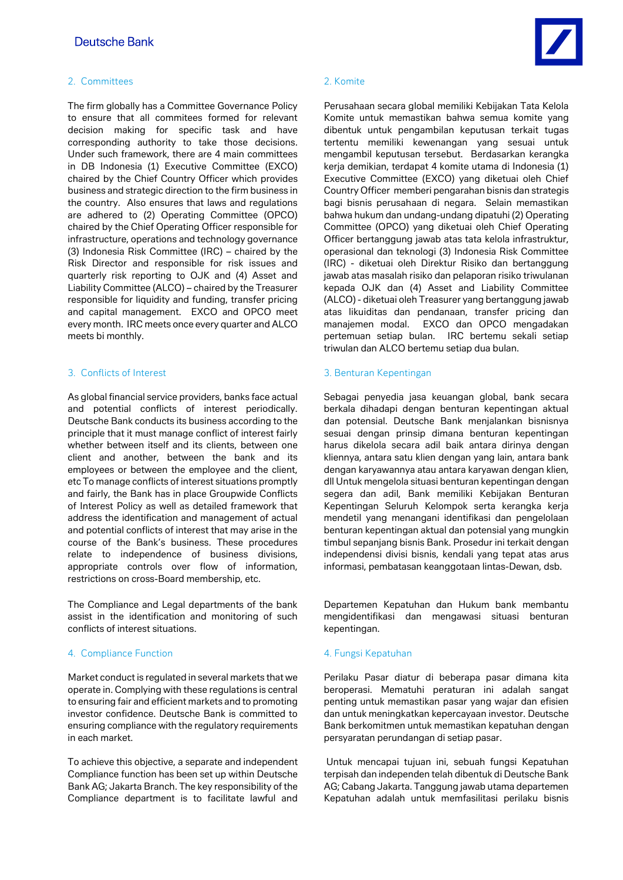# 2. Committees 2. Komite

The firm globally has a Committee Governance Policy to ensure that all commitees formed for relevant decision making for specific task and have corresponding authority to take those decisions. Under such framework, there are 4 main committees in DB Indonesia (1) Executive Committee (EXCO) chaired by the Chief Country Officer which provides business and strategic direction to the firm business in the country. Also ensures that laws and regulations are adhered to (2) Operating Committee (OPCO) chaired by the Chief Operating Officer responsible for infrastructure, operations and technology governance (3) Indonesia Risk Committee (IRC) – chaired by the Risk Director and responsible for risk issues and quarterly risk reporting to OJK and (4) Asset and Liability Committee (ALCO) – chaired by the Treasurer responsible for liquidity and funding, transfer pricing and capital management. EXCO and OPCO meet every month. IRC meets once every quarter and ALCO meets bi monthly.

As global financial service providers, banks face actual and potential conflicts of interest periodically. Deutsche Bank conducts its business according to the principle that it must manage conflict of interest fairly whether between itself and its clients, between one client and another, between the bank and its employees or between the employee and the client, etc To manage conflicts of interest situations promptly and fairly, the Bank has in place Groupwide Conflicts of Interest Policy as well as detailed framework that address the identification and management of actual and potential conflicts of interest that may arise in the course of the Bank's business. These procedures relate to independence of business divisions, appropriate controls over flow of information, restrictions on cross-Board membership, etc.

The Compliance and Legal departments of the bank assist in the identification and monitoring of such conflicts of interest situations.

## 4. Compliance Function **4. Fungsi Kepatuhan**

Market conduct is regulated in several markets that we operate in. Complying with these regulations is central to ensuring fair and efficient markets and to promoting investor confidence. Deutsche Bank is committed to ensuring compliance with the regulatory requirements in each market.

To achieve this objective, a separate and independent Compliance function has been set up within Deutsche Bank AG; Jakarta Branch. The key responsibility of the Compliance department is to facilitate lawful and



Perusahaan secara global memiliki Kebijakan Tata Kelola Komite untuk memastikan bahwa semua komite yang dibentuk untuk pengambilan keputusan terkait tugas tertentu memiliki kewenangan yang sesuai untuk mengambil keputusan tersebut. Berdasarkan kerangka kerja demikian, terdapat 4 komite utama di Indonesia (1) Executive Committee (EXCO) yang diketuai oleh Chief Country Officer memberi pengarahan bisnis dan strategis bagi bisnis perusahaan di negara. Selain memastikan bahwa hukum dan undang-undang dipatuhi (2) Operating Committee (OPCO) yang diketuai oleh Chief Operating Officer bertanggung jawab atas tata kelola infrastruktur, operasional dan teknologi (3) Indonesia Risk Committee (IRC) - diketuai oleh Direktur Risiko dan bertanggung jawab atas masalah risiko dan pelaporan risiko triwulanan kepada OJK dan (4) Asset and Liability Committee (ALCO) - diketuai oleh Treasurer yang bertanggung jawab atas likuiditas dan pendanaan, transfer pricing dan manajemen modal. EXCO dan OPCO mengadakan pertemuan setiap bulan. IRC bertemu sekali setiap triwulan dan ALCO bertemu setiap dua bulan.

# 3. Conflicts of Interest 3. Benturan Kepentingan

Sebagai penyedia jasa keuangan global, bank secara berkala dihadapi dengan benturan kepentingan aktual dan potensial. Deutsche Bank menjalankan bisnisnya sesuai dengan prinsip dimana benturan kepentingan harus dikelola secara adil baik antara dirinya dengan kliennya, antara satu klien dengan yang lain, antara bank dengan karyawannya atau antara karyawan dengan klien, dll Untuk mengelola situasi benturan kepentingan dengan segera dan adil, Bank memiliki Kebijakan Benturan Kepentingan Seluruh Kelompok serta kerangka kerja mendetil yang menangani identifikasi dan pengelolaan benturan kepentingan aktual dan potensial yang mungkin timbul sepanjang bisnis Bank. Prosedur ini terkait dengan independensi divisi bisnis, kendali yang tepat atas arus informasi, pembatasan keanggotaan lintas-Dewan, dsb.

Departemen Kepatuhan dan Hukum bank membantu mengidentifikasi dan mengawasi situasi benturan kepentingan.

Perilaku Pasar diatur di beberapa pasar dimana kita beroperasi. Mematuhi peraturan ini adalah sangat penting untuk memastikan pasar yang wajar dan efisien dan untuk meningkatkan kepercayaan investor. Deutsche Bank berkomitmen untuk memastikan kepatuhan dengan persyaratan perundangan di setiap pasar.

Untuk mencapai tujuan ini, sebuah fungsi Kepatuhan terpisah dan independen telah dibentuk di Deutsche Bank AG; Cabang Jakarta. Tanggung jawab utama departemen Kepatuhan adalah untuk memfasilitasi perilaku bisnis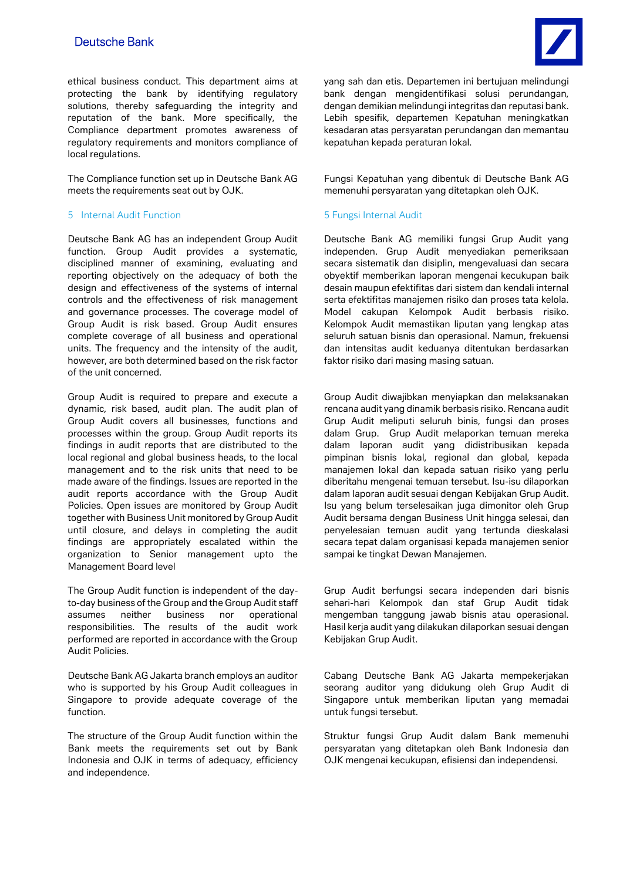ethical business conduct. This department aims at protecting the bank by identifying regulatory solutions, thereby safeguarding the integrity and reputation of the bank. More specifically, the Compliance department promotes awareness of regulatory requirements and monitors compliance of local regulations.

The Compliance function set up in Deutsche Bank AG meets the requirements seat out by OJK.

# 5 Internal Audit Function 5 Fungsi Internal Audit

Deutsche Bank AG has an independent Group Audit function. Group Audit provides a systematic, disciplined manner of examining, evaluating and reporting objectively on the adequacy of both the design and effectiveness of the systems of internal controls and the effectiveness of risk management and governance processes. The coverage model of Group Audit is risk based. Group Audit ensures complete coverage of all business and operational units. The frequency and the intensity of the audit, however, are both determined based on the risk factor of the unit concerned.

Group Audit is required to prepare and execute a dynamic, risk based, audit plan. The audit plan of Group Audit covers all businesses, functions and processes within the group. Group Audit reports its findings in audit reports that are distributed to the local regional and global business heads, to the local management and to the risk units that need to be made aware of the findings. Issues are reported in the audit reports accordance with the Group Audit Policies. Open issues are monitored by Group Audit together with Business Unit monitored by Group Audit until closure, and delays in completing the audit findings are appropriately escalated within the organization to Senior management upto the Management Board level

The Group Audit function is independent of the dayto-day business of the Group and the Group Audit staff assumes neither business nor operational responsibilities. The results of the audit work performed are reported in accordance with the Group Audit Policies.

Deutsche Bank AG Jakarta branch employs an auditor who is supported by his Group Audit colleagues in Singapore to provide adequate coverage of the function.

The structure of the Group Audit function within the Bank meets the requirements set out by Bank Indonesia and OJK in terms of adequacy, efficiency and independence.

yang sah dan etis. Departemen ini bertujuan melindungi bank dengan mengidentifikasi solusi perundangan, dengan demikian melindungi integritas dan reputasi bank. Lebih spesifik, departemen Kepatuhan meningkatkan kesadaran atas persyaratan perundangan dan memantau kepatuhan kepada peraturan lokal.

Fungsi Kepatuhan yang dibentuk di Deutsche Bank AG memenuhi persyaratan yang ditetapkan oleh OJK.

Deutsche Bank AG memiliki fungsi Grup Audit yang independen. Grup Audit menyediakan pemeriksaan secara sistematik dan disiplin, mengevaluasi dan secara obyektif memberikan laporan mengenai kecukupan baik desain maupun efektifitas dari sistem dan kendali internal serta efektifitas manajemen risiko dan proses tata kelola. Model cakupan Kelompok Audit berbasis risiko. Kelompok Audit memastikan liputan yang lengkap atas seluruh satuan bisnis dan operasional. Namun, frekuensi dan intensitas audit keduanya ditentukan berdasarkan faktor risiko dari masing masing satuan.

Group Audit diwajibkan menyiapkan dan melaksanakan rencana audit yang dinamik berbasis risiko. Rencana audit Grup Audit meliputi seluruh binis, fungsi dan proses dalam Grup. Grup Audit melaporkan temuan mereka dalam laporan audit yang didistribusikan kepada pimpinan bisnis lokal, regional dan global, kepada manajemen lokal dan kepada satuan risiko yang perlu diberitahu mengenai temuan tersebut. Isu-isu dilaporkan dalam laporan audit sesuai dengan Kebijakan Grup Audit. Isu yang belum terselesaikan juga dimonitor oleh Grup Audit bersama dengan Business Unit hingga selesai, dan penyelesaian temuan audit yang tertunda dieskalasi secara tepat dalam organisasi kepada manajemen senior sampai ke tingkat Dewan Manajemen.

Grup Audit berfungsi secara independen dari bisnis sehari-hari Kelompok dan staf Grup Audit tidak mengemban tanggung jawab bisnis atau operasional. Hasil kerja audit yang dilakukan dilaporkan sesuai dengan Kebijakan Grup Audit.

Cabang Deutsche Bank AG Jakarta mempekerjakan seorang auditor yang didukung oleh Grup Audit di Singapore untuk memberikan liputan yang memadai untuk fungsi tersebut.

Struktur fungsi Grup Audit dalam Bank memenuhi persyaratan yang ditetapkan oleh Bank Indonesia dan OJK mengenai kecukupan, efisiensi dan independensi.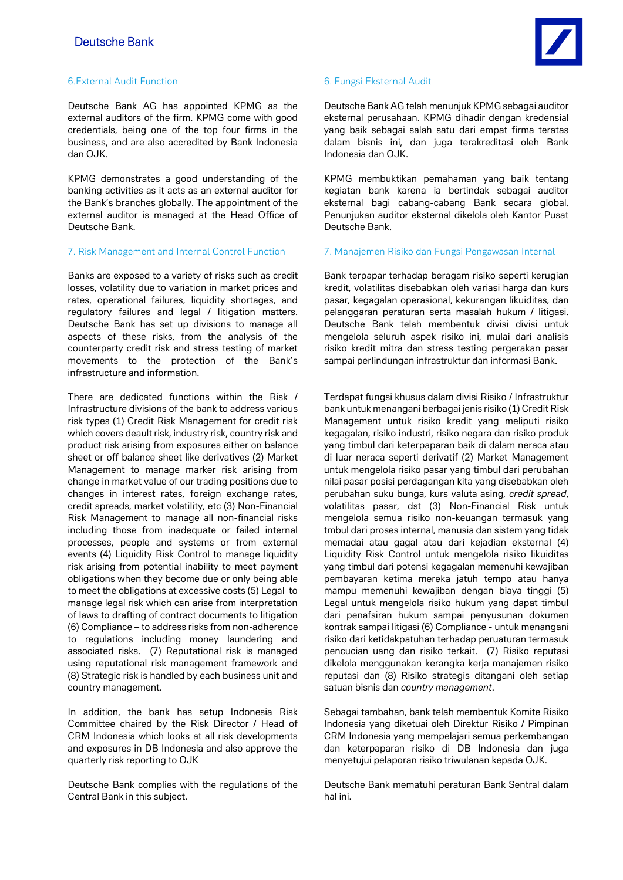# 6.External Audit Function 6. Fungsi Eksternal Audit

Deutsche Bank AG has appointed KPMG as the external auditors of the firm. KPMG come with good credentials, being one of the top four firms in the business, and are also accredited by Bank Indonesia dan OJK.

KPMG demonstrates a good understanding of the banking activities as it acts as an external auditor for the Bank's branches globally. The appointment of the external auditor is managed at the Head Office of Deutsche Bank.

Banks are exposed to a variety of risks such as credit losses, volatility due to variation in market prices and rates, operational failures, liquidity shortages, and regulatory failures and legal / litigation matters. Deutsche Bank has set up divisions to manage all aspects of these risks, from the analysis of the counterparty credit risk and stress testing of market movements to the protection of the Bank's infrastructure and information.

There are dedicated functions within the Risk / Infrastructure divisions of the bank to address various risk types (1) Credit Risk Management for credit risk which covers deault risk, industry risk, country risk and product risk arising from exposures either on balance sheet or off balance sheet like derivatives (2) Market Management to manage marker risk arising from change in market value of our trading positions due to changes in interest rates, foreign exchange rates, credit spreads, market volatility, etc (3) Non-Financial Risk Management to manage all non-financial risks including those from inadequate or failed internal processes, people and systems or from external events (4) Liquidity Risk Control to manage liquidity risk arising from potential inability to meet payment obligations when they become due or only being able to meet the obligations at excessive costs (5) Legal to manage legal risk which can arise from interpretation of laws to drafting of contract documents to litigation (6) Compliance – to address risks from non-adherence to regulations including money laundering and associated risks. (7) Reputational risk is managed using reputational risk management framework and (8) Strategic risk is handled by each business unit and country management.

In addition, the bank has setup Indonesia Risk Committee chaired by the Risk Director / Head of CRM Indonesia which looks at all risk developments and exposures in DB Indonesia and also approve the quarterly risk reporting to OJK

Deutsche Bank complies with the regulations of the Central Bank in this subject.



Deutsche Bank AG telah menunjuk KPMG sebagai auditor eksternal perusahaan. KPMG dihadir dengan kredensial yang baik sebagai salah satu dari empat firma teratas dalam bisnis ini, dan juga terakreditasi oleh Bank Indonesia dan OJK.

KPMG membuktikan pemahaman yang baik tentang kegiatan bank karena ia bertindak sebagai auditor eksternal bagi cabang-cabang Bank secara global. Penunjukan auditor eksternal dikelola oleh Kantor Pusat Deutsche Bank.

## 7. Risk Management and Internal Control Function 7. Manajemen Risiko dan Fungsi Pengawasan Internal

Bank terpapar terhadap beragam risiko seperti kerugian kredit, volatilitas disebabkan oleh variasi harga dan kurs pasar, kegagalan operasional, kekurangan likuiditas, dan pelanggaran peraturan serta masalah hukum / litigasi. Deutsche Bank telah membentuk divisi divisi untuk mengelola seluruh aspek risiko ini, mulai dari analisis risiko kredit mitra dan stress testing pergerakan pasar sampai perlindungan infrastruktur dan informasi Bank.

Terdapat fungsi khusus dalam divisi Risiko / Infrastruktur bank untuk menangani berbagai jenis risiko (1) Credit Risk Management untuk risiko kredit yang meliputi risiko kegagalan, risiko industri, risiko negara dan risiko produk yang timbul dari keterpaparan baik di dalam neraca atau di luar neraca seperti derivatif (2) Market Management untuk mengelola risiko pasar yang timbul dari perubahan nilai pasar posisi perdagangan kita yang disebabkan oleh perubahan suku bunga, kurs valuta asing, *credit spread*, volatilitas pasar, dst (3) Non-Financial Risk untuk mengelola semua risiko non-keuangan termasuk yang tmbul dari proses internal, manusia dan sistem yang tidak memadai atau gagal atau dari kejadian eksternal (4) Liquidity Risk Control untuk mengelola risiko likuiditas yang timbul dari potensi kegagalan memenuhi kewajiban pembayaran ketima mereka jatuh tempo atau hanya mampu memenuhi kewajiban dengan biaya tinggi (5) Legal untuk mengelola risiko hukum yang dapat timbul dari penafsiran hukum sampai penyusunan dokumen kontrak sampai litigasi (6) Compliance - untuk menangani risiko dari ketidakpatuhan terhadap peruaturan termasuk pencucian uang dan risiko terkait. (7) Risiko reputasi dikelola menggunakan kerangka kerja manajemen risiko reputasi dan (8) Risiko strategis ditangani oleh setiap satuan bisnis dan *country management*.

Sebagai tambahan, bank telah membentuk Komite Risiko Indonesia yang diketuai oleh Direktur Risiko / Pimpinan CRM Indonesia yang mempelajari semua perkembangan dan keterpaparan risiko di DB Indonesia dan juga menyetujui pelaporan risiko triwulanan kepada OJK.

Deutsche Bank mematuhi peraturan Bank Sentral dalam hal ini.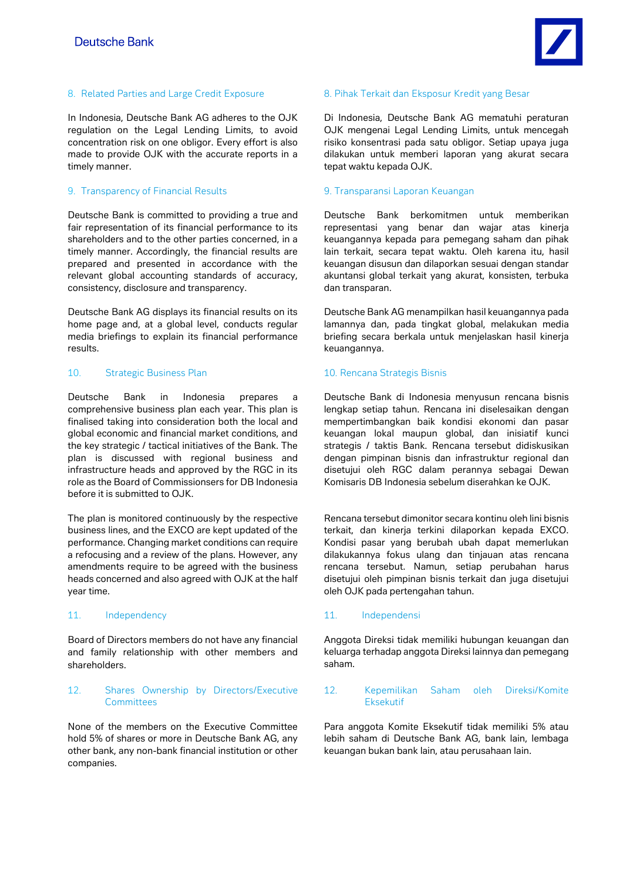

In Indonesia, Deutsche Bank AG adheres to the OJK regulation on the Legal Lending Limits, to avoid concentration risk on one obligor. Every effort is also made to provide OJK with the accurate reports in a timely manner.

# 9. Transparency of Financial Results 9. Transparansi Laporan Keuangan

Deutsche Bank is committed to providing a true and fair representation of its financial performance to its shareholders and to the other parties concerned, in a timely manner. Accordingly, the financial results are prepared and presented in accordance with the relevant global accounting standards of accuracy, consistency, disclosure and transparency.

Deutsche Bank AG displays its financial results on its home page and, at a global level, conducts regular media briefings to explain its financial performance results.

# 10. Strategic Business Plan 10. Rencana Strategis Bisnis

Deutsche Bank in Indonesia prepares a comprehensive business plan each year. This plan is finalised taking into consideration both the local and global economic and financial market conditions, and the key strategic / tactical initiatives of the Bank. The plan is discussed with regional business and infrastructure heads and approved by the RGC in its role as the Board of Commissionsers for DB Indonesia before it is submitted to OJK.

The plan is monitored continuously by the respective business lines, and the EXCO are kept updated of the performance. Changing market conditions can require a refocusing and a review of the plans. However, any amendments require to be agreed with the business heads concerned and also agreed with OJK at the half year time.

Board of Directors members do not have any financial and family relationship with other members and shareholders.

# 12. Shares Ownership by Directors/Executive **Committees**

None of the members on the Executive Committee hold 5% of shares or more in Deutsche Bank AG, any other bank, any non-bank financial institution or other companies.

## 8. Related Parties and Large Credit Exposure 8. Pihak Terkait dan Eksposur Kredit yang Besar

Di Indonesia, Deutsche Bank AG mematuhi peraturan OJK mengenai Legal Lending Limits, untuk mencegah risiko konsentrasi pada satu obligor. Setiap upaya juga dilakukan untuk memberi laporan yang akurat secara tepat waktu kepada OJK.

Deutsche Bank berkomitmen untuk memberikan representasi yang benar dan wajar atas kinerja keuangannya kepada para pemegang saham dan pihak lain terkait, secara tepat waktu. Oleh karena itu, hasil keuangan disusun dan dilaporkan sesuai dengan standar akuntansi global terkait yang akurat, konsisten, terbuka dan transparan.

Deutsche Bank AG menampilkan hasil keuangannya pada lamannya dan, pada tingkat global, melakukan media briefing secara berkala untuk menjelaskan hasil kinerja keuangannya.

Deutsche Bank di Indonesia menyusun rencana bisnis lengkap setiap tahun. Rencana ini diselesaikan dengan mempertimbangkan baik kondisi ekonomi dan pasar keuangan lokal maupun global, dan inisiatif kunci strategis / taktis Bank. Rencana tersebut didiskusikan dengan pimpinan bisnis dan infrastruktur regional dan disetujui oleh RGC dalam perannya sebagai Dewan Komisaris DB Indonesia sebelum diserahkan ke OJK.

Rencana tersebut dimonitor secara kontinu oleh lini bisnis terkait, dan kinerja terkini dilaporkan kepada EXCO. Kondisi pasar yang berubah ubah dapat memerlukan dilakukannya fokus ulang dan tinjauan atas rencana rencana tersebut. Namun, setiap perubahan harus disetujui oleh pimpinan bisnis terkait dan juga disetujui oleh OJK pada pertengahan tahun.

# 11. Independency 11. Independensi

Anggota Direksi tidak memiliki hubungan keuangan dan keluarga terhadap anggota Direksi lainnya dan pemegang saham.

# 12. Kepemilikan Saham oleh Direksi/Komite Eksekutif

Para anggota Komite Eksekutif tidak memiliki 5% atau lebih saham di Deutsche Bank AG, bank lain, lembaga keuangan bukan bank lain, atau perusahaan lain.